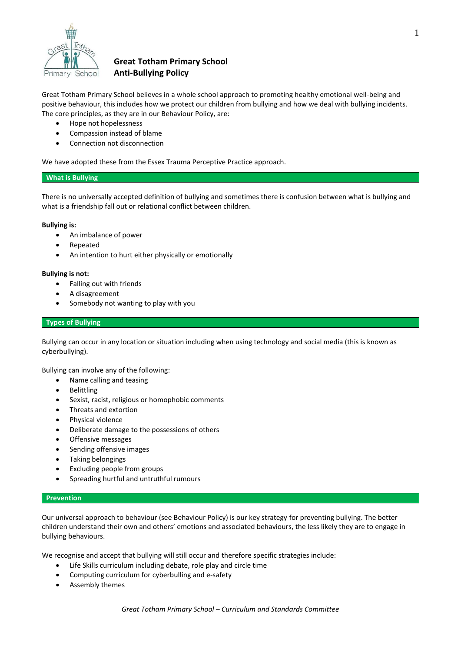

# **Great Totham Primary School Anti-Bullying Policy**

Great Totham Primary School believes in a whole school approach to promoting healthy emotional well-being and positive behaviour, this includes how we protect our children from bullying and how we deal with bullying incidents. The core principles, as they are in our Behaviour Policy, are:

- Hope not hopelessness
- Compassion instead of blame
- Connection not disconnection

We have adopted these from the Essex Trauma Perceptive Practice approach.

## **What is Bullying**

There is no universally accepted definition of bullying and sometimes there is confusion between what is bullying and what is a friendship fall out or relational conflict between children.

## **Bullying is:**

- An imbalance of power
- Repeated
- An intention to hurt either physically or emotionally

## **Bullying is not:**

- Falling out with friends
- A disagreement
- Somebody not wanting to play with you

## **Types of Bullying**

Bullying can occur in any location or situation including when using technology and social media (this is known as cyberbullying).

Bullying can involve any of the following:

- Name calling and teasing
- Belittling
- Sexist, racist, religious or homophobic comments
- Threats and extortion
- Physical violence
- Deliberate damage to the possessions of others
- Offensive messages
- Sending offensive images
- Taking belongings
- Excluding people from groups
- Spreading hurtful and untruthful rumours

## **Prevention**

Our universal approach to behaviour (see Behaviour Policy) is our key strategy for preventing bullying. The better children understand their own and others' emotions and associated behaviours, the less likely they are to engage in bullying behaviours.

We recognise and accept that bullying will still occur and therefore specific strategies include:

- Life Skills curriculum including debate, role play and circle time
- Computing curriculum for cyberbulling and e-safety
- Assembly themes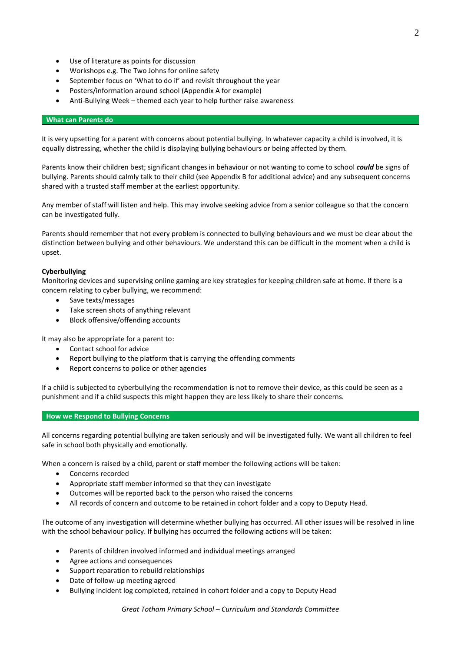- Use of literature as points for discussion
- Workshops e.g. The Two Johns for online safety
- September focus on 'What to do if' and revisit throughout the year
- Posters/information around school (Appendix A for example)
- Anti-Bullying Week themed each year to help further raise awareness

#### **What can Parents do**

It is very upsetting for a parent with concerns about potential bullying. In whatever capacity a child is involved, it is equally distressing, whether the child is displaying bullying behaviours or being affected by them.

Parents know their children best; significant changes in behaviour or not wanting to come to school *could* be signs of bullying. Parents should calmly talk to their child (see Appendix B for additional advice) and any subsequent concerns shared with a trusted staff member at the earliest opportunity.

Any member of staff will listen and help. This may involve seeking advice from a senior colleague so that the concern can be investigated fully.

Parents should remember that not every problem is connected to bullying behaviours and we must be clear about the distinction between bullying and other behaviours. We understand this can be difficult in the moment when a child is upset.

#### **Cyberbullying**

Monitoring devices and supervising online gaming are key strategies for keeping children safe at home. If there is a concern relating to cyber bullying, we recommend:

- Save texts/messages
- Take screen shots of anything relevant
- Block offensive/offending accounts

It may also be appropriate for a parent to:

- Contact school for advice
- Report bullying to the platform that is carrying the offending comments
- Report concerns to police or other agencies

If a child is subjected to cyberbullying the recommendation is not to remove their device, as this could be seen as a punishment and if a child suspects this might happen they are less likely to share their concerns.

#### **How we Respond to Bullying Concerns**

All concerns regarding potential bullying are taken seriously and will be investigated fully. We want all children to feel safe in school both physically and emotionally.

When a concern is raised by a child, parent or staff member the following actions will be taken:

- Concerns recorded
- Appropriate staff member informed so that they can investigate
- Outcomes will be reported back to the person who raised the concerns
- All records of concern and outcome to be retained in cohort folder and a copy to Deputy Head.

The outcome of any investigation will determine whether bullying has occurred. All other issues will be resolved in line with the school behaviour policy. If bullying has occurred the following actions will be taken:

- Parents of children involved informed and individual meetings arranged
- Agree actions and consequences
- Support reparation to rebuild relationships
- Date of follow-up meeting agreed
- Bullying incident log completed, retained in cohort folder and a copy to Deputy Head

*Great Totham Primary School – Curriculum and Standards Committee*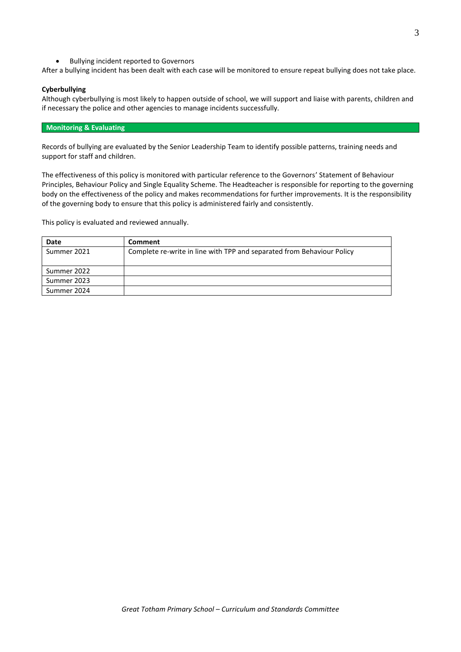Bullying incident reported to Governors

After a bullying incident has been dealt with each case will be monitored to ensure repeat bullying does not take place.

## **Cyberbullying**

Although cyberbullying is most likely to happen outside of school, we will support and liaise with parents, children and if necessary the police and other agencies to manage incidents successfully.

#### **Monitoring & Evaluating**

Records of bullying are evaluated by the Senior Leadership Team to identify possible patterns, training needs and support for staff and children.

The effectiveness of this policy is monitored with particular reference to the Governors' Statement of Behaviour Principles, Behaviour Policy and Single Equality Scheme. The Headteacher is responsible for reporting to the governing body on the effectiveness of the policy and makes recommendations for further improvements. It is the responsibility of the governing body to ensure that this policy is administered fairly and consistently.

This policy is evaluated and reviewed annually.

| Date        | Comment                                                                |
|-------------|------------------------------------------------------------------------|
| Summer 2021 | Complete re-write in line with TPP and separated from Behaviour Policy |
|             |                                                                        |
| Summer 2022 |                                                                        |
| Summer 2023 |                                                                        |
| Summer 2024 |                                                                        |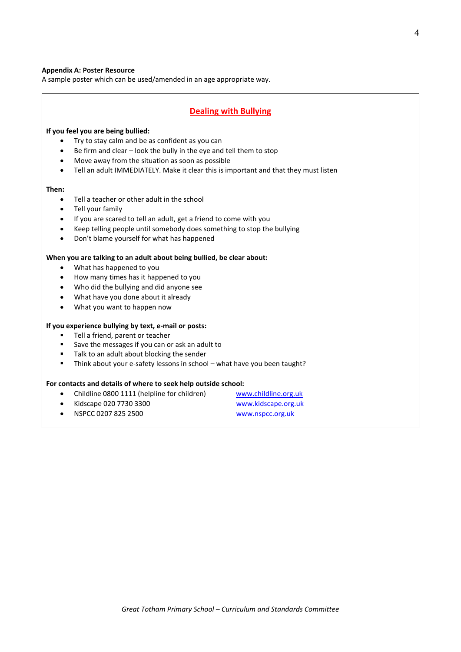#### **Appendix A: Poster Resource**

A sample poster which can be used/amended in an age appropriate way.

## **Dealing with Bullying**

#### **If you feel you are being bullied:**

- Try to stay calm and be as confident as you can
- Be firm and clear look the bully in the eye and tell them to stop
- Move away from the situation as soon as possible
- Tell an adult IMMEDIATELY. Make it clear this is important and that they must listen

#### **Then:**

- Tell a teacher or other adult in the school
- Tell your family
- If you are scared to tell an adult, get a friend to come with you
- Keep telling people until somebody does something to stop the bullying
- Don't blame yourself for what has happened

#### **When you are talking to an adult about being bullied, be clear about:**

- What has happened to you
- How many times has it happened to you
- Who did the bullying and did anyone see
- What have you done about it already
- What you want to happen now

#### **If you experience bullying by text, e-mail or posts:**

- Tell a friend, parent or teacher
- Save the messages if you can or ask an adult to
- Talk to an adult about blocking the sender
- Think about your e-safety lessons in school what have you been taught?

#### **For contacts and details of where to seek help outside school:**

- Childline 0800 1111 (helpline for children) [www.childline.org.uk](http://www.childline.org.uk/)
- Kidscape 020 7730 3300 [www.kidscape.org.uk](http://www.kidscape.org.uk/)
- NSPCC 0207 825 2500 [www.nspcc.org.uk](http://www.nspcc.org.uk/)
-